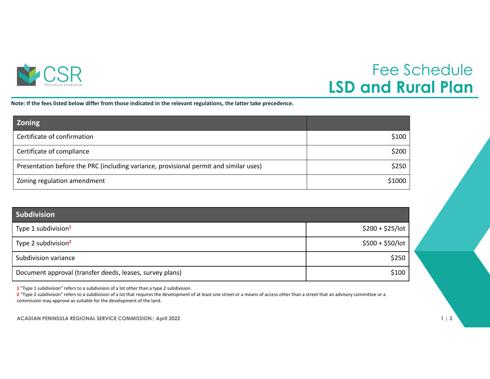

## Fee Schedule **LSD and Rural Plan**

Note: If the fees listed below differ from those indicated in the relevant regulations, the latter take precedence.

| <b>Zoning</b>                                                                         |        |
|---------------------------------------------------------------------------------------|--------|
| Certificate of confirmation                                                           | \$100  |
| Certificate of compliance                                                             | \$200  |
| Presentation before the PRC (including variance, provisional permit and similar uses) | \$250  |
| Zoning regulation amendment                                                           | \$1000 |

| <b>Subdivision</b>                                       |                   |
|----------------------------------------------------------|-------------------|
| Type 1 subdivision <sup>1</sup>                          | $$200 + $25/$ lot |
| Type 2 subdivision <sup>2</sup>                          | $$500 + $50/$ lot |
| Subdivision variance                                     | \$250             |
| Document approval (transfer deeds, leases, survey plans) | \$100             |

**1** "Type 1 subdivision" refers to <sup>a</sup> subdivision of <sup>a</sup> lot other than <sup>a</sup> type 2 subdivision.

**2** "Type 2 subdivision" refers to <sup>a</sup> subdivision of <sup>a</sup> lot that requires the development of at least one street or <sup>a</sup> means of access other than <sup>a</sup> street that an advisory committee or <sup>a</sup> commission may approve as suitable for the development of the land.

**ACADIAN PENINSULA REGIONAL SERVICE COMMISSION| April 2022 1 | 3**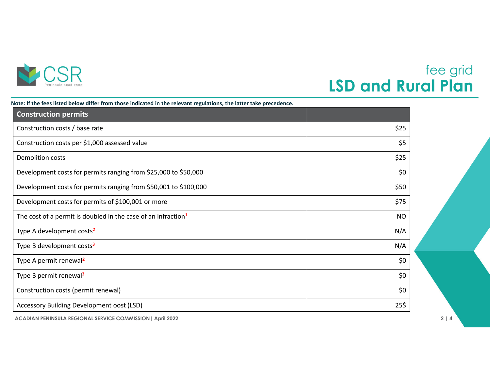

## fee grid **LSD and Rural Plan**

| Note: If the fees listed below differ from those indicated in the relevant regulations, the latter take precedence. |
|---------------------------------------------------------------------------------------------------------------------|
|                                                                                                                     |

| <b>Construction permits</b>                                      |           |
|------------------------------------------------------------------|-----------|
| Construction costs / base rate                                   | \$25      |
| Construction costs per \$1,000 assessed value                    | \$5       |
| <b>Demolition costs</b>                                          | \$25      |
| Development costs for permits ranging from \$25,000 to \$50,000  | \$0       |
| Development costs for permits ranging from \$50,001 to \$100,000 | \$50      |
| Development costs for permits of \$100,001 or more               | \$75      |
| The cost of a permit is doubled in the case of an infraction $1$ | <b>NO</b> |
| Type A development costs <sup>2</sup>                            | N/A       |
| Type B development costs <sup>3</sup>                            | N/A       |
| Type A permit renewal <sup>2</sup>                               | \$0       |
| Type B permit renewal <sup>3</sup>                               | \$0       |
| Construction costs (permit renewal)                              | \$0       |
| Accessory Building Development oost (LSD)                        | 25\$      |

**ACADIAN PENINSULA REGIONAL SERVICE COMMISSION| April 2022 2 | 4**